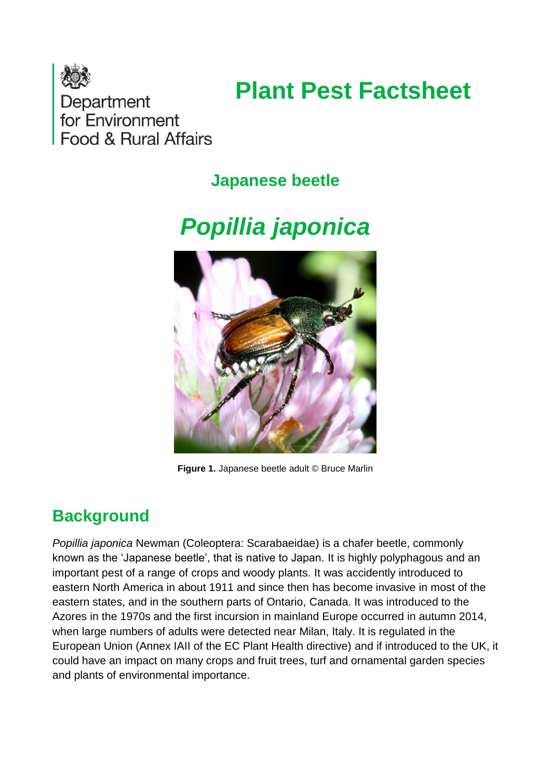

# **Plant Pest Factsheet**

Department for Environment Food & Rural Affairs

## **Japanese beetle**

# *Popillia japonica*



**Figure 1.** Japanese beetle adult © Bruce Marlin

# **Background**

*Popillia japonica* Newman (Coleoptera: Scarabaeidae) is a chafer beetle, commonly known as the 'Japanese beetle', that is native to Japan. It is highly polyphagous and an important pest of a range of crops and woody plants. It was accidently introduced to eastern North America in about 1911 and since then has become invasive in most of the eastern states, and in the southern parts of Ontario, Canada. It was introduced to the Azores in the 1970s and the first incursion in mainland Europe occurred in autumn 2014, when large numbers of adults were detected near Milan, Italy. It is regulated in the European Union (Annex IAII of the EC Plant Health directive) and if introduced to the UK, it could have an impact on many crops and fruit trees, turf and ornamental garden species and plants of environmental importance.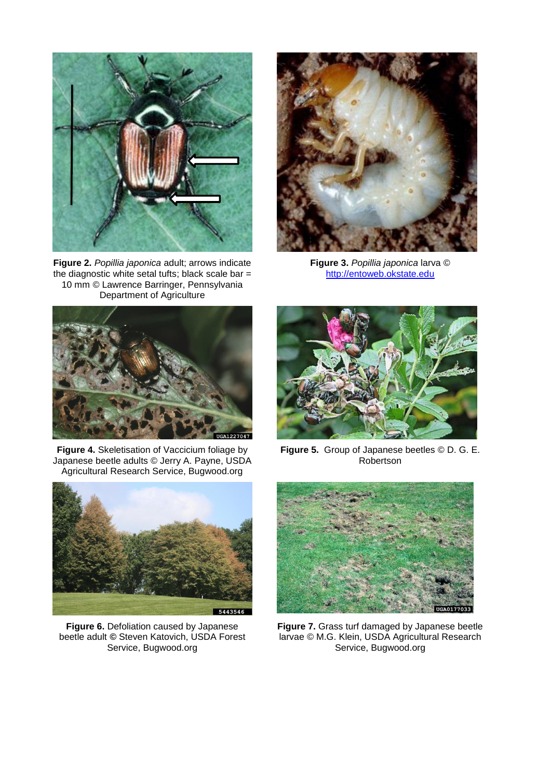

**Figure 2.** *Popillia japonica* adult; arrows indicate the diagnostic white setal tufts; black scale bar  $=$ 10 mm © Lawrence Barringer, Pennsylvania Department of Agriculture



**Figure 3.** *Popillia japonica* larva © [http://entoweb.okstate.edu](http://entoweb.okstate.edu/)



**Figure 4.** Skeletisation of Vaccicium foliage by Japanese beetle adults © [Jerry A. Payne, USDA](http://www.insectimages.org/browse/detail.cfm?imgnum=1227047#collapseseven)  [Agricultural Research Service, Bugwood.org](http://www.insectimages.org/browse/detail.cfm?imgnum=1227047#collapseseven)



**Figure 6.** Defoliation caused by Japanese beetle adult *©* [Steven Katovich, USDA Forest](http://www.insectimages.org/browse/detail.cfm?imgnum=5443546#collapseseven)  [Service, Bugwood.org](http://www.insectimages.org/browse/detail.cfm?imgnum=5443546#collapseseven) 



**Figure 5.** Group of Japanese beetles © D. G. E. Robertson



**Figure 7.** Grass turf damaged by Japanese beetle larvae © M.G. Klein, USDA Agricultural Research Service, Bugwood.org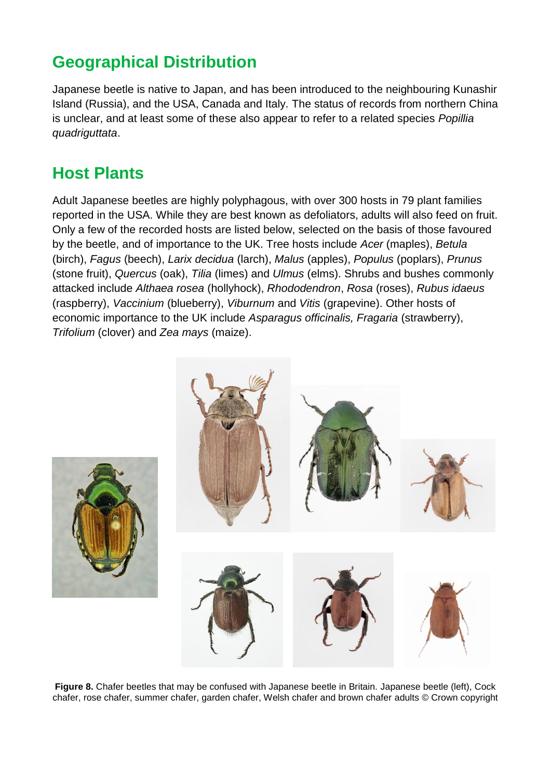# **Geographical Distribution**

Japanese beetle is native to Japan, and has been introduced to the neighbouring Kunashir Island (Russia), and the USA, Canada and Italy. The status of records from northern China is unclear, and at least some of these also appear to refer to a related species *Popillia quadriguttata*.

# **Host Plants**

Adult Japanese beetles are highly polyphagous, with over 300 hosts in 79 plant families reported in the USA. While they are best known as defoliators, adults will also feed on fruit. Only a few of the recorded hosts are listed below, selected on the basis of those favoured by the beetle, and of importance to the UK. Tree hosts include *Acer* (maples), *Betula*  (birch), *Fagus* (beech), *Larix decidua* (larch), *Malus* (apples), *Populus* (poplars), *Prunus*  (stone fruit), *Quercus* (oak), *Tilia* (limes) and *Ulmus* (elms). Shrubs and bushes commonly attacked include *Althaea rosea* (hollyhock), *Rhododendron*, *Rosa* (roses), *Rubus idaeus*  (raspberry), *Vaccinium* (blueberry), *Viburnum* and *Vitis* (grapevine). Other hosts of economic importance to the UK include *Asparagus officinalis, Fragaria* (strawberry), *Trifolium* (clover) and *Zea mays* (maize).



Figure 8. Chafer beetles that may be confused with Japanese beetle in Britain. Japanese beetle (left), Cock chafer, rose chafer, summer chafer, garden chafer, Welsh chafer and brown chafer adults © Crown copyright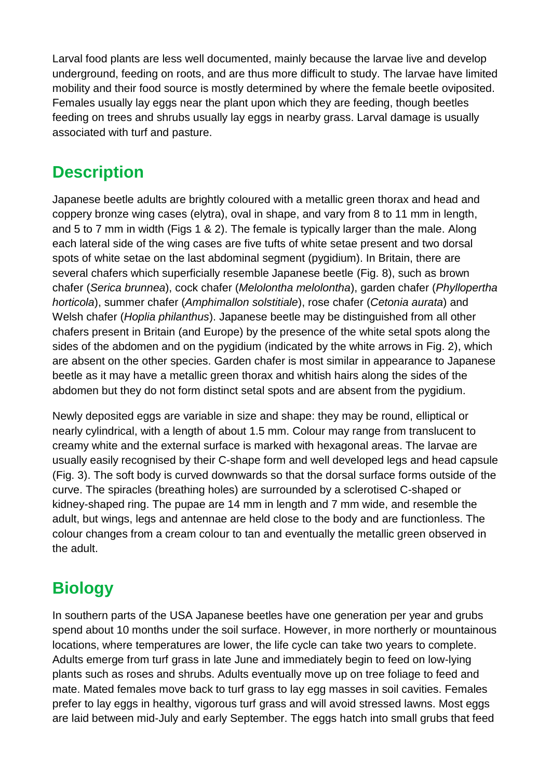Larval food plants are less well documented, mainly because the larvae live and develop underground, feeding on roots, and are thus more difficult to study. The larvae have limited mobility and their food source is mostly determined by where the female beetle oviposited. Females usually lay eggs near the plant upon which they are feeding, though beetles feeding on trees and shrubs usually lay eggs in nearby grass. Larval damage is usually associated with turf and pasture.

## **Description**

Japanese beetle adults are brightly coloured with a metallic green thorax and head and coppery bronze wing cases (elytra), oval in shape, and vary from 8 to 11 mm in length, and 5 to 7 mm in width (Figs 1 & 2). The female is typically larger than the male. Along each lateral side of the wing cases are five tufts of white setae present and two dorsal spots of white setae on the last abdominal segment (pygidium). In Britain, there are several chafers which superficially resemble Japanese beetle (Fig. 8), such as brown chafer (*Serica brunnea*), cock chafer (*Melolontha melolontha*), garden chafer (*Phyllopertha horticola*), summer chafer (*Amphimallon solstitiale*), rose chafer (*Cetonia aurata*) and Welsh chafer (*Hoplia philanthus*). Japanese beetle may be distinguished from all other chafers present in Britain (and Europe) by the presence of the white setal spots along the sides of the abdomen and on the pygidium (indicated by the white arrows in Fig. 2), which are absent on the other species. Garden chafer is most similar in appearance to Japanese beetle as it may have a metallic green thorax and whitish hairs along the sides of the abdomen but they do not form distinct setal spots and are absent from the pygidium.

Newly deposited eggs are variable in size and shape: they may be round, elliptical or nearly cylindrical, with a length of about 1.5 mm. Colour may range from translucent to creamy white and the external surface is marked with hexagonal areas. The larvae are usually easily recognised by their C-shape form and well developed legs and head capsule (Fig. 3). The soft body is curved downwards so that the dorsal surface forms outside of the curve. The spiracles (breathing holes) are surrounded by a sclerotised C-shaped or kidney-shaped ring. The pupae are 14 mm in length and 7 mm wide, and resemble the adult, but wings, legs and antennae are held close to the body and are functionless. The colour changes from a cream colour to tan and eventually the metallic green observed in the adult.

# **Biology**

In southern parts of the USA Japanese beetles have one generation per year and grubs spend about 10 months under the soil surface. However, in more northerly or mountainous locations, where temperatures are lower, the life cycle can take two years to complete. Adults emerge from turf grass in late June and immediately begin to feed on low-lying plants such as roses and shrubs. Adults eventually move up on tree foliage to feed and mate. Mated females move back to turf grass to lay egg masses in soil cavities. Females prefer to lay eggs in healthy, vigorous turf grass and will avoid stressed lawns. Most eggs are laid between mid-July and early September. The eggs hatch into small grubs that feed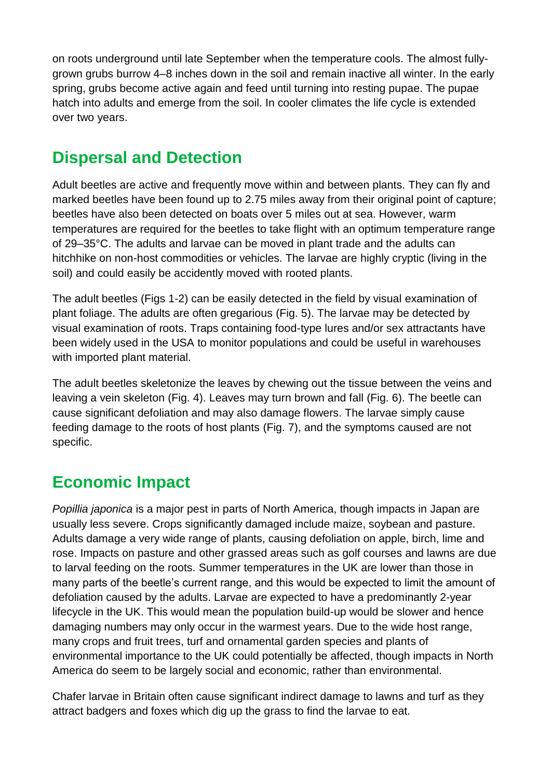on roots underground until late September when the temperature cools. The almost fullygrown grubs burrow 4–8 inches down in the soil and remain inactive all winter. In the early spring, grubs become active again and feed until turning into resting pupae. The pupae hatch into adults and emerge from the soil. In cooler climates the life cycle is extended over two years.

# **Dispersal and Detection**

Adult beetles are active and frequently move within and between plants. They can fly and marked beetles have been found up to 2.75 miles away from their original point of capture; beetles have also been detected on boats over 5 miles out at sea. However, warm temperatures are required for the beetles to take flight with an optimum temperature range of 29–35°C. The adults and larvae can be moved in plant trade and the adults can hitchhike on non-host commodities or vehicles. The larvae are highly cryptic (living in the soil) and could easily be accidently moved with rooted plants.

The adult beetles (Figs 1-2) can be easily detected in the field by visual examination of plant foliage. The adults are often gregarious (Fig. 5). The larvae may be detected by visual examination of roots. Traps containing food-type lures and/or sex attractants have been widely used in the USA to monitor populations and could be useful in warehouses with imported plant material.

The adult beetles skeletonize the leaves by chewing out the tissue between the veins and leaving a vein skeleton (Fig. 4). Leaves may turn brown and fall (Fig. 6). The beetle can cause significant defoliation and may also damage flowers. The larvae simply cause feeding damage to the roots of host plants (Fig. 7), and the symptoms caused are not specific.

# **Economic Impact**

*Popillia japonica* is a major pest in parts of North America, though impacts in Japan are usually less severe. Crops significantly damaged include maize, soybean and pasture. Adults damage a very wide range of plants, causing defoliation on apple, birch, lime and rose. Impacts on pasture and other grassed areas such as golf courses and lawns are due to larval feeding on the roots. Summer temperatures in the UK are lower than those in many parts of the beetle's current range, and this would be expected to limit the amount of defoliation caused by the adults. Larvae are expected to have a predominantly 2-year lifecycle in the UK. This would mean the population build-up would be slower and hence damaging numbers may only occur in the warmest years. Due to the wide host range, many crops and fruit trees, turf and ornamental garden species and plants of environmental importance to the UK could potentially be affected, though impacts in North America do seem to be largely social and economic, rather than environmental.

Chafer larvae in Britain often cause significant indirect damage to lawns and turf as they attract badgers and foxes which dig up the grass to find the larvae to eat.